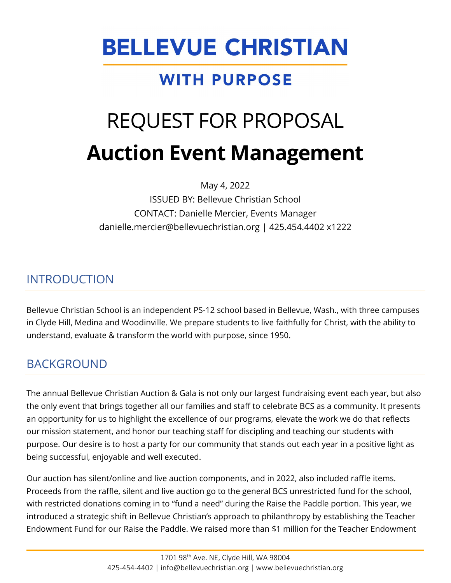# **BELLEVUE CHRISTIAN**

# **WITH PURPOSE**

# REQUEST FOR PROPOSAL **Auction Event Management**

May 4, 2022

ISSUED BY: Bellevue Christian School CONTACT: Danielle Mercier, Events Manager danielle.mercier@bellevuechristian.org | 425.454.4402 x1222

## INTRODUCTION

Bellevue Christian School is an independent PS-12 school based in Bellevue, Wash., with three campuses in Clyde Hill, Medina and Woodinville. We prepare students to live faithfully for Christ, with the ability to understand, evaluate & transform the world with purpose, since 1950.

# BACKGROUND

The annual Bellevue Christian Auction & Gala is not only our largest fundraising event each year, but also the only event that brings together all our families and staff to celebrate BCS as a community. It presents an opportunity for us to highlight the excellence of our programs, elevate the work we do that reflects our mission statement, and honor our teaching staff for discipling and teaching our students with purpose. Our desire is to host a party for our community that stands out each year in a positive light as being successful, enjoyable and well executed.

Our auction has silent/online and live auction components, and in 2022, also included raffle items. Proceeds from the raffle, silent and live auction go to the general BCS unrestricted fund for the school, with restricted donations coming in to "fund a need" during the Raise the Paddle portion. This year, we introduced a strategic shift in Bellevue Christian's approach to philanthropy by establishing the Teacher Endowment Fund for our Raise the Paddle. We raised more than \$1 million for the Teacher Endowment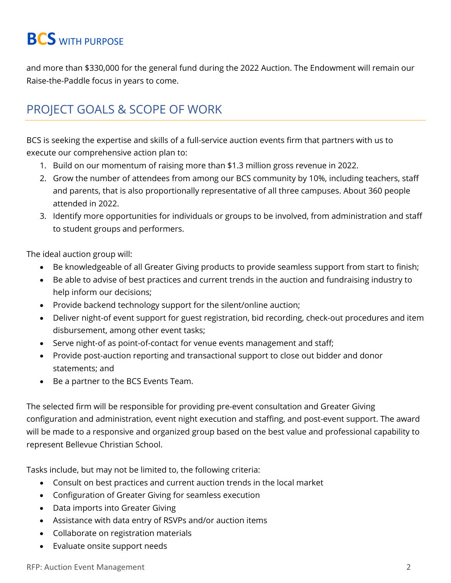# **BCS** WITH PURPOSE

and more than \$330,000 for the general fund during the 2022 Auction. The Endowment will remain our Raise-the-Paddle focus in years to come.

## PROJECT GOALS & SCOPE OF WORK

BCS is seeking the expertise and skills of a full-service auction events firm that partners with us to execute our comprehensive action plan to:

- 1. Build on our momentum of raising more than \$1.3 million gross revenue in 2022.
- 2. Grow the number of attendees from among our BCS community by 10%, including teachers, staff and parents, that is also proportionally representative of all three campuses. About 360 people attended in 2022.
- 3. Identify more opportunities for individuals or groups to be involved, from administration and staff to student groups and performers.

The ideal auction group will:

- Be knowledgeable of all Greater Giving products to provide seamless support from start to finish;
- Be able to advise of best practices and current trends in the auction and fundraising industry to help inform our decisions;
- Provide backend technology support for the silent/online auction;
- Deliver night-of event support for guest registration, bid recording, check-out procedures and item disbursement, among other event tasks;
- Serve night-of as point-of-contact for venue events management and staff;
- Provide post-auction reporting and transactional support to close out bidder and donor statements; and
- Be a partner to the BCS Events Team.

The selected firm will be responsible for providing pre-event consultation and Greater Giving configuration and administration, event night execution and staffing, and post-event support. The award will be made to a responsive and organized group based on the best value and professional capability to represent Bellevue Christian School.

Tasks include, but may not be limited to, the following criteria:

- Consult on best practices and current auction trends in the local market
- Configuration of Greater Giving for seamless execution
- Data imports into Greater Giving
- Assistance with data entry of RSVPs and/or auction items
- Collaborate on registration materials
- Evaluate onsite support needs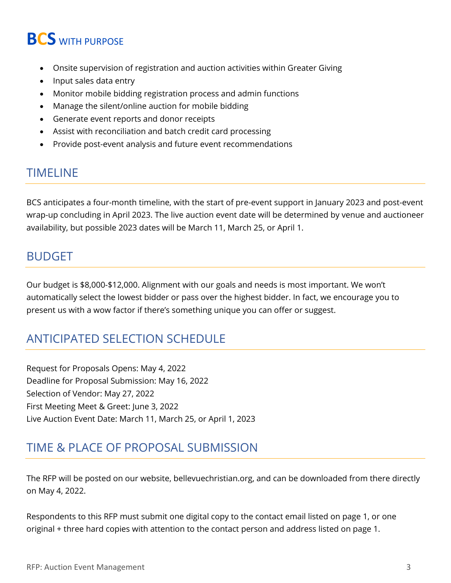# **BCS** WITH PURPOSE

- Onsite supervision of registration and auction activities within Greater Giving
- Input sales data entry
- Monitor mobile bidding registration process and admin functions
- Manage the silent/online auction for mobile bidding
- Generate event reports and donor receipts
- Assist with reconciliation and batch credit card processing
- Provide post-event analysis and future event recommendations

#### TIMELINE

BCS anticipates a four-month timeline, with the start of pre-event support in January 2023 and post-event wrap-up concluding in April 2023. The live auction event date will be determined by venue and auctioneer availability, but possible 2023 dates will be March 11, March 25, or April 1.

#### BUDGET

Our budget is \$8,000-\$12,000. Alignment with our goals and needs is most important. We won't automatically select the lowest bidder or pass over the highest bidder. In fact, we encourage you to present us with a wow factor if there's something unique you can offer or suggest.

## ANTICIPATED SELECTION SCHEDULE

Request for Proposals Opens: May 4, 2022 Deadline for Proposal Submission: May 16, 2022 Selection of Vendor: May 27, 2022 First Meeting Meet & Greet: June 3, 2022 Live Auction Event Date: March 11, March 25, or April 1, 2023

## TIME & PLACE OF PROPOSAL SUBMISSION

The RFP will be posted on our website, [bellevuechristian.org,](https://www.bellevuechristian.org/) and can be downloaded from there directly on May 4, 2022.

Respondents to this RFP must submit one digital copy to the contact email listed on page 1, or one original + three hard copies with attention to the contact person and address listed on page 1.